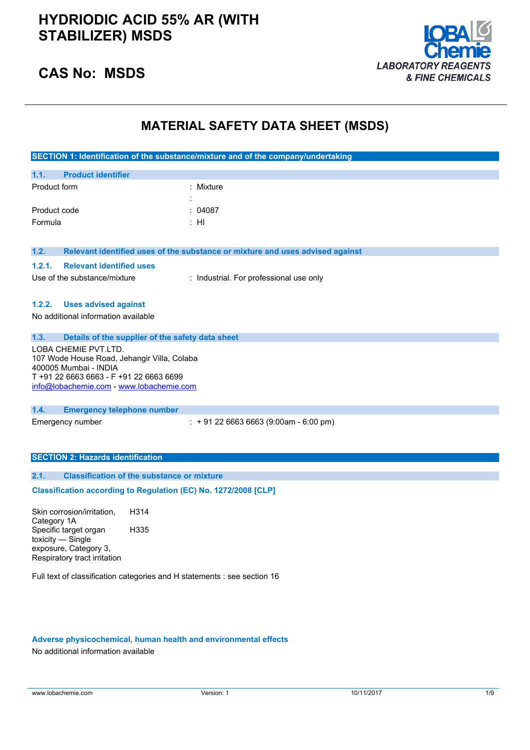

### **CAS No: MSDS**

## **MATERIAL SAFETY DATA SHEET (MSDS)**

|                                                                                                                                                                                     | SECTION 1: Identification of the substance/mixture and of the company/undertaking |  |  |
|-------------------------------------------------------------------------------------------------------------------------------------------------------------------------------------|-----------------------------------------------------------------------------------|--|--|
| <b>Product identifier</b><br>1.1.                                                                                                                                                   |                                                                                   |  |  |
| Product form                                                                                                                                                                        | : Mixture                                                                         |  |  |
| Product code<br>Formula                                                                                                                                                             | 04087<br>: HI                                                                     |  |  |
|                                                                                                                                                                                     |                                                                                   |  |  |
| 1.2.                                                                                                                                                                                | Relevant identified uses of the substance or mixture and uses advised against     |  |  |
| 1.2.1.<br><b>Relevant identified uses</b>                                                                                                                                           |                                                                                   |  |  |
| Use of the substance/mixture                                                                                                                                                        | : Industrial. For professional use only                                           |  |  |
| 1.2.2.<br><b>Uses advised against</b><br>No additional information available                                                                                                        |                                                                                   |  |  |
| 1.3.<br>Details of the supplier of the safety data sheet                                                                                                                            |                                                                                   |  |  |
| LOBA CHEMIE PVT.LTD.<br>107 Wode House Road, Jehangir Villa, Colaba<br>400005 Mumbai - INDIA<br>T +91 22 6663 6663 - F +91 22 6663 6699<br>info@lobachemie.com - www.lobachemie.com |                                                                                   |  |  |
| 1.4.<br><b>Emergency telephone number</b>                                                                                                                                           |                                                                                   |  |  |
| Emergency number                                                                                                                                                                    | $: +912266636663(9:00am - 6:00 pm)$                                               |  |  |
| <b>SECTION 2: Hazards identification</b>                                                                                                                                            |                                                                                   |  |  |
| <b>Classification of the substance or mixture</b><br>2.1.                                                                                                                           |                                                                                   |  |  |
| Classification according to Regulation (EC) No. 1272/2008 [CLP]                                                                                                                     |                                                                                   |  |  |
| Skin corrosion/irritation,<br>H314<br>Category 1A                                                                                                                                   |                                                                                   |  |  |
| Specific target organ<br>H335<br>toxicity - Single<br>exposure, Category 3,<br>Respiratory tract irritation                                                                         |                                                                                   |  |  |
| Full text of classification categories and H statements : see section 16                                                                                                            |                                                                                   |  |  |

### **Adverse physicochemical, human health and environmental effects**

No additional information available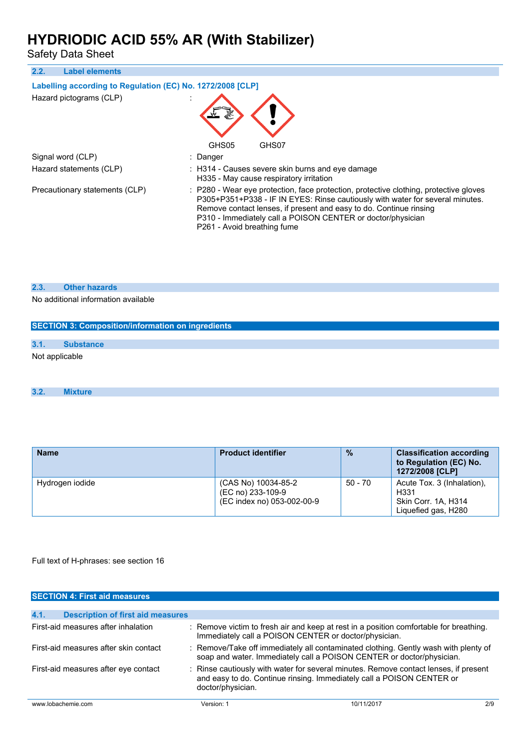Safety Data Sheet

| 2.2.<br><b>Label elements</b>                              |                                                                                                                                                                                                                                                                                                                                            |
|------------------------------------------------------------|--------------------------------------------------------------------------------------------------------------------------------------------------------------------------------------------------------------------------------------------------------------------------------------------------------------------------------------------|
| Labelling according to Regulation (EC) No. 1272/2008 [CLP] |                                                                                                                                                                                                                                                                                                                                            |
| Hazard pictograms (CLP)                                    | GHS05<br>GHS07                                                                                                                                                                                                                                                                                                                             |
| Signal word (CLP)                                          | : Danger                                                                                                                                                                                                                                                                                                                                   |
| Hazard statements (CLP)                                    | : H314 - Causes severe skin burns and eye damage<br>H335 - May cause respiratory irritation                                                                                                                                                                                                                                                |
| Precautionary statements (CLP)                             | : P280 - Wear eye protection, face protection, protective clothing, protective gloves<br>P305+P351+P338 - IF IN EYES: Rinse cautiously with water for several minutes.<br>Remove contact lenses, if present and easy to do. Continue rinsing<br>P310 - Immediately call a POISON CENTER or doctor/physician<br>P261 - Avoid breathing fume |

### **2.3. Other hazards**

No additional information available

|                | <b>SECTION 3: Composition/information on ingredients</b> |
|----------------|----------------------------------------------------------|
| 3.1.           | <b>Substance</b>                                         |
| Not applicable |                                                          |

### **3.2. Mixture**

| <b>Name</b>     | <b>Product identifier</b>                                              | $\frac{0}{2}$ | <b>Classification according</b><br>to Regulation (EC) No.<br>1272/2008 [CLP]     |
|-----------------|------------------------------------------------------------------------|---------------|----------------------------------------------------------------------------------|
| Hydrogen iodide | (CAS No) 10034-85-2<br>(EC no) 233-109-9<br>(EC index no) 053-002-00-9 | $50 - 70$     | Acute Tox. 3 (Inhalation).<br>H331<br>Skin Corr. 1A, H314<br>Liquefied gas, H280 |

Full text of H-phrases: see section 16

| <b>SECTION 4: First aid measures</b>             |                   |                                                                                                                                                               |     |
|--------------------------------------------------|-------------------|---------------------------------------------------------------------------------------------------------------------------------------------------------------|-----|
|                                                  |                   |                                                                                                                                                               |     |
| 4.1.<br><b>Description of first aid measures</b> |                   |                                                                                                                                                               |     |
| First-aid measures after inhalation              |                   | : Remove victim to fresh air and keep at rest in a position comfortable for breathing.<br>Immediately call a POISON CENTER or doctor/physician.               |     |
| First-aid measures after skin contact            |                   | : Remove/Take off immediately all contaminated clothing. Gently wash with plenty of<br>soap and water. Immediately call a POISON CENTER or doctor/physician.  |     |
| First-aid measures after eye contact             | doctor/physician. | : Rinse cautiously with water for several minutes. Remove contact lenses, if present<br>and easy to do. Continue rinsing. Immediately call a POISON CENTER or |     |
| www.lobachemie.com                               | Version: 1        | 10/11/2017                                                                                                                                                    | 2/9 |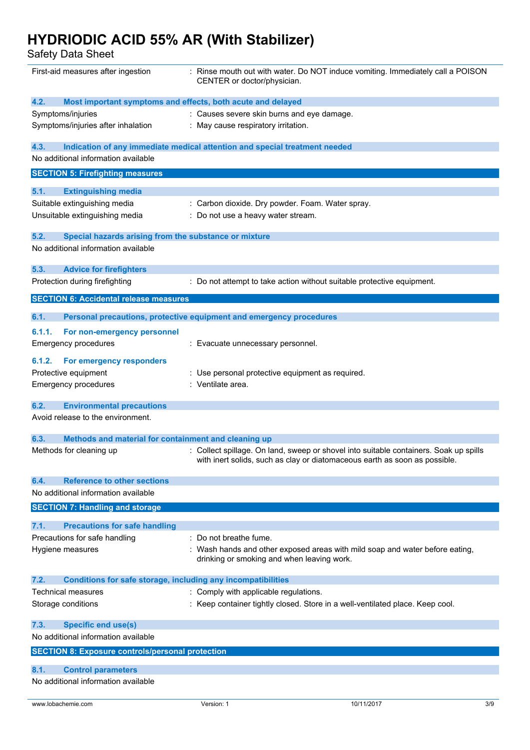Safety Data Sheet

| First-aid measures after ingestion                                          | : Rinse mouth out with water. Do NOT induce vomiting. Immediately call a POISON<br>CENTER or doctor/physician. |
|-----------------------------------------------------------------------------|----------------------------------------------------------------------------------------------------------------|
| 4.2.<br>Most important symptoms and effects, both acute and delayed         |                                                                                                                |
| Symptoms/injuries                                                           | : Causes severe skin burns and eye damage.                                                                     |
| Symptoms/injuries after inhalation                                          | : May cause respiratory irritation.                                                                            |
| 4.3.                                                                        | Indication of any immediate medical attention and special treatment needed                                     |
| No additional information available                                         |                                                                                                                |
| <b>SECTION 5: Firefighting measures</b>                                     |                                                                                                                |
| <b>Extinguishing media</b><br>5.1.                                          |                                                                                                                |
| Suitable extinguishing media                                                | : Carbon dioxide. Dry powder. Foam. Water spray.                                                               |
| Unsuitable extinguishing media                                              | : Do not use a heavy water stream.                                                                             |
| 5.2.<br>Special hazards arising from the substance or mixture               |                                                                                                                |
| No additional information available                                         |                                                                                                                |
| 5.3.<br><b>Advice for firefighters</b>                                      |                                                                                                                |
| Protection during firefighting                                              | : Do not attempt to take action without suitable protective equipment.                                         |
| <b>SECTION 6: Accidental release measures</b>                               |                                                                                                                |
| 6.1.                                                                        | Personal precautions, protective equipment and emergency procedures                                            |
| 6.1.1.<br>For non-emergency personnel                                       |                                                                                                                |
| Emergency procedures                                                        | : Evacuate unnecessary personnel.                                                                              |
| For emergency responders<br>6.1.2.                                          |                                                                                                                |
| Protective equipment                                                        | : Use personal protective equipment as required.                                                               |
| <b>Emergency procedures</b>                                                 | : Ventilate area.                                                                                              |
|                                                                             |                                                                                                                |
| 6.2.<br><b>Environmental precautions</b>                                    |                                                                                                                |
| Avoid release to the environment.                                           |                                                                                                                |
| 6.3.<br>Methods and material for containment and cleaning up                |                                                                                                                |
| Methods for cleaning up                                                     | : Collect spillage. On land, sweep or shovel into suitable containers. Soak up spills                          |
|                                                                             | with inert solids, such as clay or diatomaceous earth as soon as possible.                                     |
| <b>Reference to other sections</b><br>6.4.                                  |                                                                                                                |
| No additional information available                                         |                                                                                                                |
| <b>SECTION 7: Handling and storage</b>                                      |                                                                                                                |
| 7.1.<br><b>Precautions for safe handling</b>                                |                                                                                                                |
| Precautions for safe handling                                               | Do not breathe fume.                                                                                           |
| Hygiene measures                                                            | Wash hands and other exposed areas with mild soap and water before eating,                                     |
|                                                                             | drinking or smoking and when leaving work.                                                                     |
| <b>Conditions for safe storage, including any incompatibilities</b><br>7.2. |                                                                                                                |
| Technical measures                                                          | : Comply with applicable regulations.                                                                          |
| Storage conditions                                                          | : Keep container tightly closed. Store in a well-ventilated place. Keep cool.                                  |
| <b>Specific end use(s)</b><br>7.3.                                          |                                                                                                                |
| No additional information available                                         |                                                                                                                |
| <b>SECTION 8: Exposure controls/personal protection</b>                     |                                                                                                                |
| 8.1.<br><b>Control parameters</b>                                           |                                                                                                                |
| No additional information available                                         |                                                                                                                |
|                                                                             |                                                                                                                |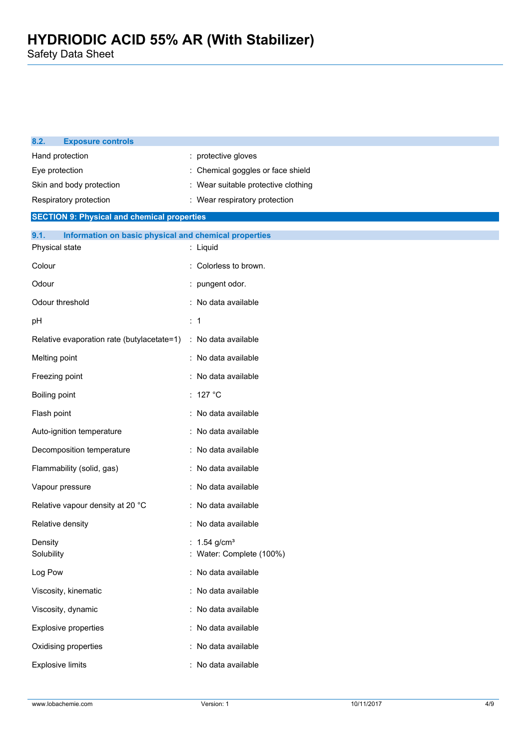| 8.2.<br><b>Exposure controls</b>                              |                                          |  |  |
|---------------------------------------------------------------|------------------------------------------|--|--|
| Hand protection                                               | : protective gloves                      |  |  |
| Eye protection                                                | Chemical goggles or face shield          |  |  |
| Skin and body protection                                      | : Wear suitable protective clothing      |  |  |
| Respiratory protection                                        | : Wear respiratory protection            |  |  |
| <b>SECTION 9: Physical and chemical properties</b>            |                                          |  |  |
| 9.1.<br>Information on basic physical and chemical properties |                                          |  |  |
| Physical state                                                | : Liquid                                 |  |  |
| Colour                                                        | Colorless to brown.                      |  |  |
| Odour                                                         | : pungent odor.                          |  |  |
| Odour threshold                                               | : No data available                      |  |  |
| pH                                                            | $\therefore$ 1                           |  |  |
| Relative evaporation rate (butylacetate=1)                    | : No data available                      |  |  |
| Melting point                                                 | : No data available                      |  |  |
| Freezing point                                                | : No data available                      |  |  |
| Boiling point                                                 | : 127 $^{\circ}$ C                       |  |  |
| Flash point                                                   | : No data available                      |  |  |
| Auto-ignition temperature                                     | : No data available                      |  |  |
| Decomposition temperature                                     | : No data available                      |  |  |
| Flammability (solid, gas)                                     | : No data available                      |  |  |
| Vapour pressure                                               | : No data available                      |  |  |
| Relative vapour density at 20 °C                              | : No data available                      |  |  |
| Relative density                                              | : No data available                      |  |  |
| Density<br>Solubility                                         | 1.54 $g/cm3$<br>: Water: Complete (100%) |  |  |
| Log Pow                                                       | : No data available                      |  |  |
| Viscosity, kinematic                                          | : No data available                      |  |  |
| Viscosity, dynamic                                            | : No data available                      |  |  |
| Explosive properties                                          | : No data available                      |  |  |
| Oxidising properties                                          | No data available                        |  |  |
| <b>Explosive limits</b>                                       | : No data available                      |  |  |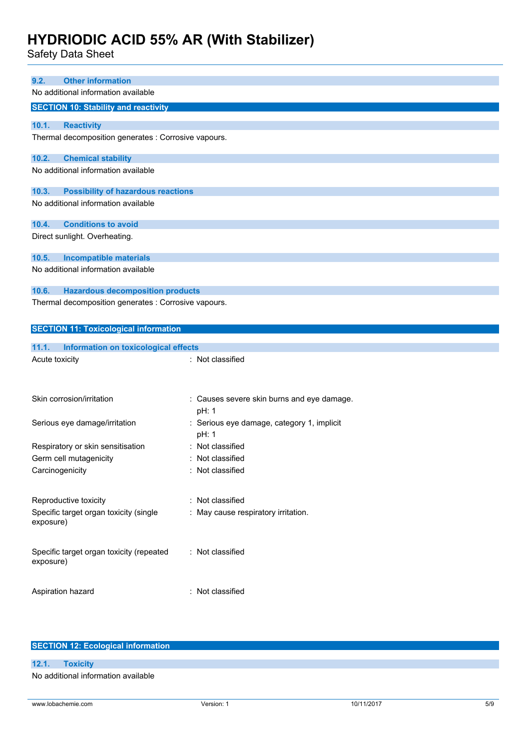| Safety Data Sheet                                                                  |                                                     |
|------------------------------------------------------------------------------------|-----------------------------------------------------|
| <b>Other information</b><br>9.2.                                                   |                                                     |
| No additional information available                                                |                                                     |
| <b>SECTION 10: Stability and reactivity</b>                                        |                                                     |
|                                                                                    |                                                     |
| 10.1.<br><b>Reactivity</b><br>Thermal decomposition generates : Corrosive vapours. |                                                     |
|                                                                                    |                                                     |
| 10.2.<br><b>Chemical stability</b>                                                 |                                                     |
| No additional information available                                                |                                                     |
| <b>Possibility of hazardous reactions</b><br>10.3.                                 |                                                     |
| No additional information available                                                |                                                     |
|                                                                                    |                                                     |
| <b>Conditions to avoid</b><br>10.4.                                                |                                                     |
| Direct sunlight. Overheating.                                                      |                                                     |
| 10.5.<br><b>Incompatible materials</b>                                             |                                                     |
| No additional information available                                                |                                                     |
|                                                                                    |                                                     |
| 10.6.<br><b>Hazardous decomposition products</b>                                   |                                                     |
| Thermal decomposition generates : Corrosive vapours.                               |                                                     |
| <b>SECTION 11: Toxicological information</b>                                       |                                                     |
|                                                                                    |                                                     |
| 11.1.<br><b>Information on toxicological effects</b>                               |                                                     |
| Acute toxicity                                                                     | : Not classified                                    |
|                                                                                    |                                                     |
|                                                                                    |                                                     |
| Skin corrosion/irritation                                                          | : Causes severe skin burns and eye damage.<br>pH: 1 |
| Serious eye damage/irritation                                                      | : Serious eye damage, category 1, implicit          |
|                                                                                    | pH: 1                                               |
| Respiratory or skin sensitisation                                                  | : Not classified                                    |
| Germ cell mutagenicity                                                             | : Not classified                                    |
| Carcinogenicity                                                                    |                                                     |
|                                                                                    | : Not classified                                    |
|                                                                                    |                                                     |
| Reproductive toxicity                                                              | : Not classified                                    |
| Specific target organ toxicity (single                                             | : May cause respiratory irritation.                 |
| exposure)                                                                          |                                                     |
|                                                                                    |                                                     |
| Specific target organ toxicity (repeated                                           | : Not classified                                    |
| exposure)                                                                          |                                                     |
| Aspiration hazard                                                                  | : Not classified                                    |

| <b>SECTION 12: Ecological information</b> |
|-------------------------------------------|
|                                           |
| 12.1. Toxicity                            |
| No additional information available       |

 $\mathcal{L}$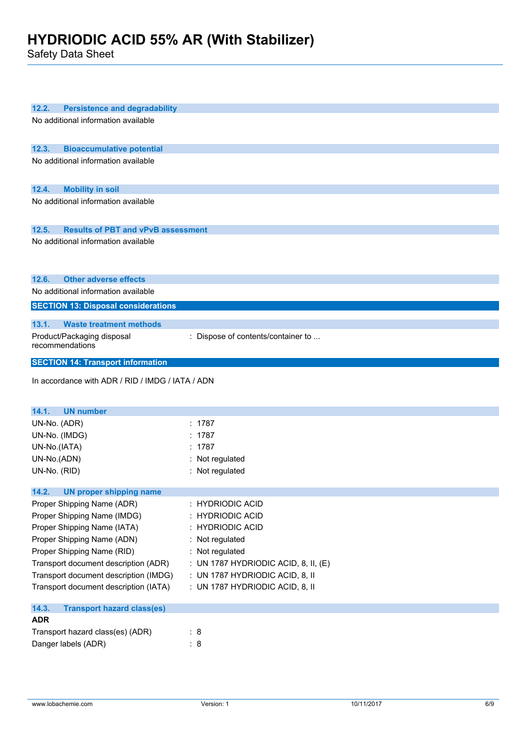Safety Data Sheet

| 12.2.<br><b>Persistence and degradability</b>      |                                      |
|----------------------------------------------------|--------------------------------------|
| No additional information available                |                                      |
|                                                    |                                      |
|                                                    |                                      |
| 12.3.<br><b>Bioaccumulative potential</b>          |                                      |
| No additional information available                |                                      |
|                                                    |                                      |
| 12.4.<br><b>Mobility in soil</b>                   |                                      |
| No additional information available                |                                      |
|                                                    |                                      |
| <b>Results of PBT and vPvB assessment</b><br>12.5. |                                      |
| No additional information available                |                                      |
|                                                    |                                      |
|                                                    |                                      |
|                                                    |                                      |
| 12.6.<br><b>Other adverse effects</b>              |                                      |
| No additional information available                |                                      |
| <b>SECTION 13: Disposal considerations</b>         |                                      |
| <b>Waste treatment methods</b><br>13.1.            |                                      |
| Product/Packaging disposal                         | : Dispose of contents/container to   |
| recommendations                                    |                                      |
|                                                    |                                      |
| <b>SECTION 14: Transport information</b>           |                                      |
|                                                    |                                      |
| In accordance with ADR / RID / IMDG / IATA / ADN   |                                      |
|                                                    |                                      |
|                                                    |                                      |
| 14.1.<br><b>UN number</b>                          |                                      |
| UN-No. (ADR)                                       | : 1787                               |
| UN-No. (IMDG)                                      | 1787                                 |
| UN-No.(IATA)                                       | 1787                                 |
| UN-No.(ADN)                                        | Not regulated                        |
| UN-No. (RID)                                       | : Not regulated                      |
|                                                    |                                      |
| 14.2.<br><b>UN proper shipping name</b>            |                                      |
| Proper Shipping Name (ADR)                         | <b>HYDRIODIC ACID</b>                |
| Proper Shipping Name (IMDG)                        | <b>HYDRIODIC ACID</b>                |
| Proper Shipping Name (IATA)                        | <b>HYDRIODIC ACID</b>                |
| Proper Shipping Name (ADN)                         | Not regulated                        |
| Proper Shipping Name (RID)                         | : Not regulated                      |
| Transport document description (ADR)               | : UN 1787 HYDRIODIC ACID, 8, II, (E) |
| Transport document description (IMDG)              | : UN 1787 HYDRIODIC ACID, 8, II      |
| Transport document description (IATA)              | : UN 1787 HYDRIODIC ACID, 8, II      |
|                                                    |                                      |
| 14.3.<br><b>Transport hazard class(es)</b>         |                                      |
| <b>ADR</b>                                         |                                      |
| Transport hazard class(es) (ADR)                   | : 8                                  |
| Danger labels (ADR)                                | : 8                                  |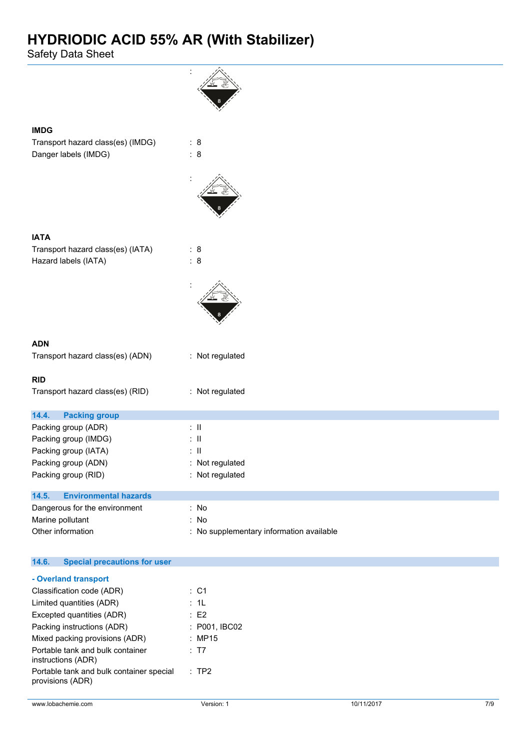Safety Data Sheet

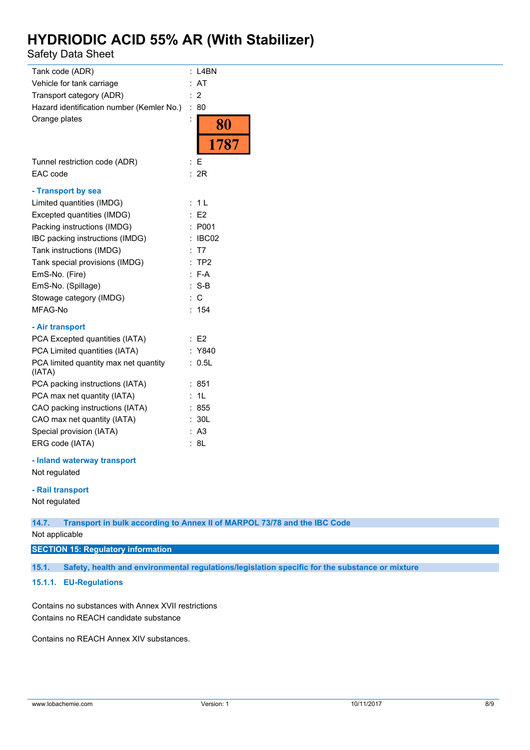Safety Data Sheet

| Tank code (ADR)                                 | t.             | L4BN           |
|-------------------------------------------------|----------------|----------------|
| Vehicle for tank carriage                       | t.             | AT             |
| Transport category (ADR)                        |                | $\overline{2}$ |
| Hazard identification number (Kemler No.)       | $\vdots$       | 80             |
| Orange plates                                   |                | 80             |
|                                                 |                | 1787           |
| Tunnel restriction code (ADR)                   | t              | F              |
| EAC code                                        | ÷              | 2R             |
| - Transport by sea                              |                |                |
| Limited quantities (IMDG)                       | ÷.             | 1 <sub>L</sub> |
| Excepted quantities (IMDG)                      |                | E2             |
| Packing instructions (IMDG)                     | $\ddot{\cdot}$ | P001           |
| IBC packing instructions (IMDG)                 | t              | IBC02          |
| Tank instructions (IMDG)                        |                | : T7           |
| Tank special provisions (IMDG)                  |                | :TP2           |
| EmS-No. (Fire)                                  |                | $: F-A$        |
| EmS-No. (Spillage)                              |                | $: S-B$        |
| Stowage category (IMDG)                         |                | $\therefore$ C |
| MFAG-No                                         |                | 154            |
| - Air transport                                 |                |                |
| PCA Excepted quantities (IATA)                  |                | : E2           |
| PCA Limited quantities (IATA)                   |                | : Y840         |
| PCA limited quantity max net quantity<br>(IATA) |                | 0.5L           |
| PCA packing instructions (IATA)                 |                | 851            |
| PCA max net quantity (IATA)                     |                | 1L             |
| CAO packing instructions (IATA)                 |                | : 855          |
| CAO max net quantity (IATA)                     |                | : 30L          |
| Special provision (IATA)                        |                | : A3           |
| ERG code (IATA)                                 | t.             | 8L             |
| - Inland waterway transport<br>Not regulated    |                |                |
|                                                 |                |                |

#### **- Rail transport**

Not regulated

**14.7. Transport in bulk according to Annex II of MARPOL 73/78 and the IBC Code**

Not applicable

#### **SECTION 15: Regulatory information**

**15.1. Safety, health and environmental regulations/legislation specific for the substance or mixture**

#### **15.1.1. EU-Regulations**

Contains no substances with Annex XVII restrictions Contains no REACH candidate substance

Contains no REACH Annex XIV substances.